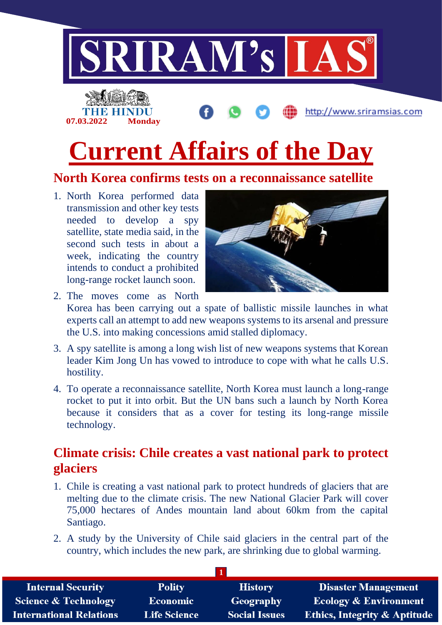

## **North Korea confirms tests on a reconnaissance satellite**

1. North Korea performed data transmission and other key tests needed to develop a spy satellite, state media said, in the second such tests in about a week, indicating the country intends to conduct a prohibited long-range rocket launch soon.



- 2. The moves come as North Korea has been carrying out a spate of ballistic missile launches in what experts call an attempt to add new weapons systems to its arsenal and pressure the U.S. into making concessions amid stalled diplomacy.
- 3. A spy satellite is among a long wish list of new weapons systems that Korean leader Kim Jong Un has vowed to introduce to cope with what he calls U.S. hostility.
- 4. To operate a reconnaissance satellite, North Korea must launch a long-range rocket to put it into orbit. But the UN bans such a launch by North Korea because it considers that as a cover for testing its long-range missile technology.

## **Climate crisis: Chile creates a vast national park to protect glaciers**

- 1. Chile is creating a vast national park to protect hundreds of glaciers that are melting due to the climate crisis. The new National Glacier Park will cover 75,000 hectares of Andes mountain land about 60km from the capital Santiago.
- 2. A study by the University of Chile said glaciers in the central part of the country, which includes the new park, are shrinking due to global warming.

| <b>Internal Security</b>        | <b>Polity</b>       | <b>History</b>       | <b>Disaster Management</b>              |
|---------------------------------|---------------------|----------------------|-----------------------------------------|
| <b>Science &amp; Technology</b> | <b>Economic</b>     | <b>Geography</b>     | <b>Ecology &amp; Environment</b>        |
| <b>International Relations</b>  | <b>Life Science</b> | <b>Social Issues</b> | <b>Ethics, Integrity &amp; Aptitude</b> |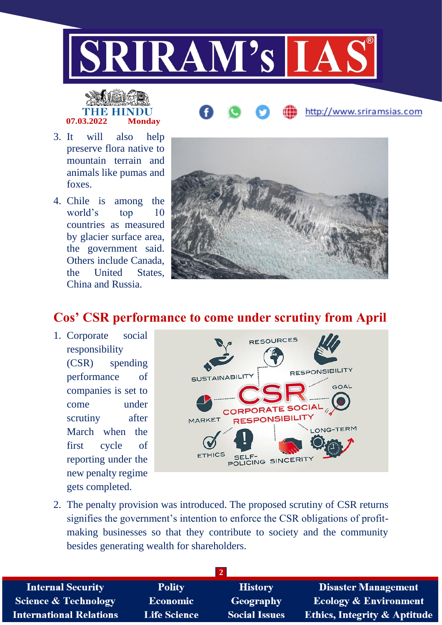

# **07.03.2022 Monday**

- 3. It will also help preserve flora native to mountain terrain and animals like pumas and foxes.
- 4. Chile is among the world's top 10 countries as measured by glacier surface area, the government said. Others include Canada, the United States, China and Russia.



http://www.sriramsias.com

# **Cos' CSR performance to come under scrutiny from April**

1. Corporate social responsibility (CSR) spending performance of companies is set to come under scrutiny after March when the first cycle of reporting under the new penalty regime gets completed.



2. The penalty provision was introduced. The proposed scrutiny of CSR returns signifies the government's intention to enforce the CSR obligations of profitmaking businesses so that they contribute to society and the community besides generating wealth for shareholders.

| <b>Polity</b>       | <b>History</b>       | <b>Disaster Management</b>              |
|---------------------|----------------------|-----------------------------------------|
| <b>Economic</b>     | Geography            | Ecology & Environment                   |
| <b>Life Science</b> | <b>Social Issues</b> | <b>Ethics, Integrity &amp; Aptitude</b> |
|                     |                      |                                         |